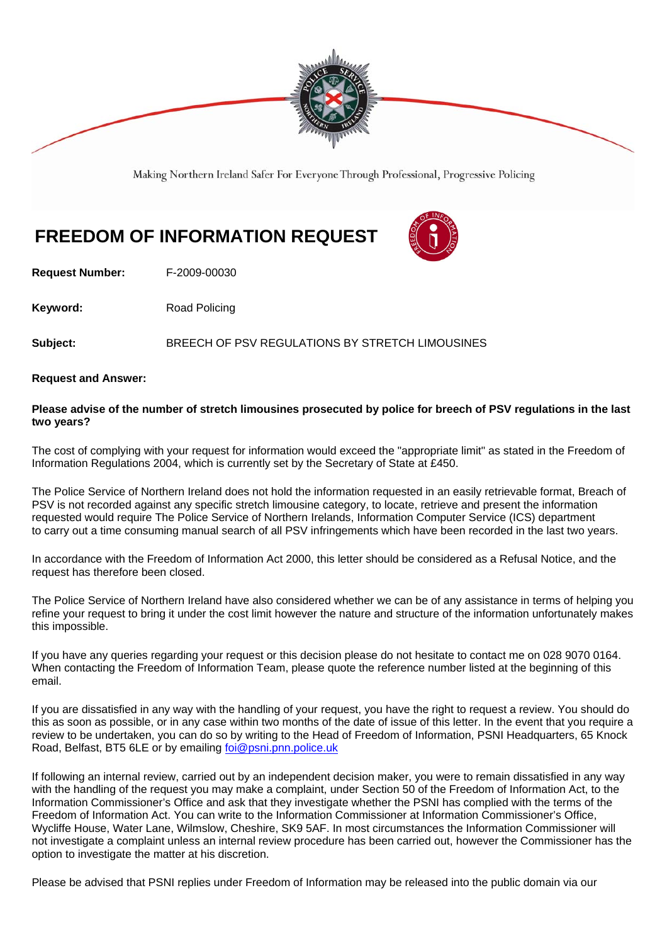

Making Northern Ireland Safer For Everyone Through Professional, Progressive Policing

## **FREEDOM OF INFORMATION REQUEST**

**Request Number:** F-2009-00030

**Keyword:** Road Policing

**Subject:** BREECH OF PSV REGULATIONS BY STRETCH LIMOUSINES

**Request and Answer:** 

## **Please advise of the number of stretch limousines prosecuted by police for breech of PSV regulations in the last two years?**

The cost of complying with your request for information would exceed the "appropriate limit" as stated in the Freedom of Information Regulations 2004, which is currently set by the Secretary of State at £450.

The Police Service of Northern Ireland does not hold the information requested in an easily retrievable format, Breach of PSV is not recorded against any specific stretch limousine category, to locate, retrieve and present the information requested would require The Police Service of Northern Irelands, Information Computer Service (ICS) department to carry out a time consuming manual search of all PSV infringements which have been recorded in the last two years.

In accordance with the Freedom of Information Act 2000, this letter should be considered as a Refusal Notice, and the request has therefore been closed.

The Police Service of Northern Ireland have also considered whether we can be of any assistance in terms of helping you refine your request to bring it under the cost limit however the nature and structure of the information unfortunately makes this impossible.

If you have any queries regarding your request or this decision please do not hesitate to contact me on 028 9070 0164. When contacting the Freedom of Information Team, please quote the reference number listed at the beginning of this email.

If you are dissatisfied in any way with the handling of your request, you have the right to request a review. You should do this as soon as possible, or in any case within two months of the date of issue of this letter. In the event that you require a review to be undertaken, you can do so by writing to the Head of Freedom of Information, PSNI Headquarters, 65 Knock Road, Belfast, BT5 6LE or by emailing foi@psni.pnn.police.uk

If following an internal review, carried out by an independent decision maker, you were to remain dissatisfied in any way with the handling of the request you may make a complaint, under Section 50 of the Freedom of Information Act, to the Information Commissioner's Office and ask that they investigate whether the PSNI has complied with the terms of the Freedom of Information Act. You can write to the Information Commissioner at Information Commissioner's Office, Wycliffe House, Water Lane, Wilmslow, Cheshire, SK9 5AF. In most circumstances the Information Commissioner will not investigate a complaint unless an internal review procedure has been carried out, however the Commissioner has the option to investigate the matter at his discretion.

Please be advised that PSNI replies under Freedom of Information may be released into the public domain via our